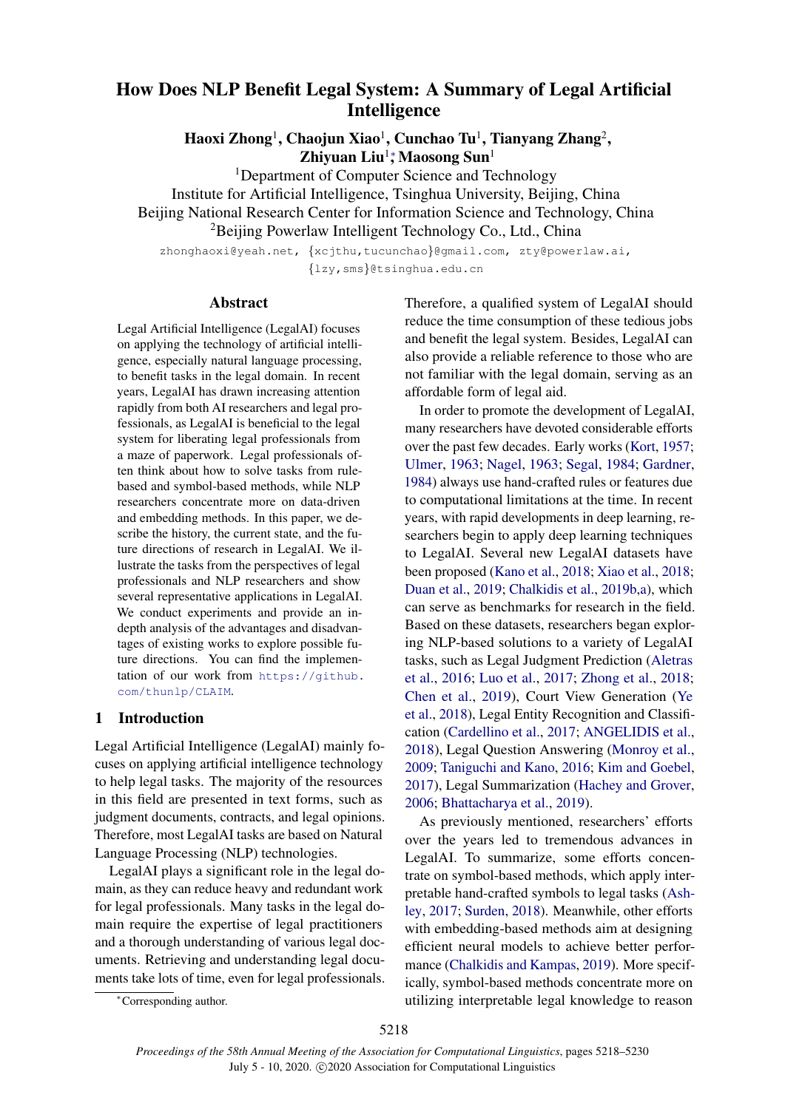# How Does NLP Benefit Legal System: A Summary of Legal Artificial Intelligence

Haoxi Zhong<sup>1</sup>, Chaojun Xiao<sup>1</sup>, Cunchao Tu<sup>1</sup>, Tianyang Zhang<sup>2</sup>, Zhiyuan Liu<sup>1</sup>\*, Maosong Sun<sup>1</sup>

<sup>1</sup>Department of Computer Science and Technology Institute for Artificial Intelligence, Tsinghua University, Beijing, China Beijing National Research Center for Information Science and Technology, China

<sup>2</sup>Beijing Powerlaw Intelligent Technology Co., Ltd., China

zhonghaoxi@yeah.net, {xcjthu,tucunchao}@gmail.com, zty@powerlaw.ai, {lzy,sms}@tsinghua.edu.cn

#### Abstract

Legal Artificial Intelligence (LegalAI) focuses on applying the technology of artificial intelligence, especially natural language processing, to benefit tasks in the legal domain. In recent years, LegalAI has drawn increasing attention rapidly from both AI researchers and legal professionals, as LegalAI is beneficial to the legal system for liberating legal professionals from a maze of paperwork. Legal professionals often think about how to solve tasks from rulebased and symbol-based methods, while NLP researchers concentrate more on data-driven and embedding methods. In this paper, we describe the history, the current state, and the future directions of research in LegalAI. We illustrate the tasks from the perspectives of legal professionals and NLP researchers and show several representative applications in LegalAI. We conduct experiments and provide an indepth analysis of the advantages and disadvantages of existing works to explore possible future directions. You can find the implementation of our work from [https://github.](https://github.com/thunlp/CLAIM) [com/thunlp/CLAIM](https://github.com/thunlp/CLAIM).

## 1 Introduction

Legal Artificial Intelligence (LegalAI) mainly focuses on applying artificial intelligence technology to help legal tasks. The majority of the resources in this field are presented in text forms, such as judgment documents, contracts, and legal opinions. Therefore, most LegalAI tasks are based on Natural Language Processing (NLP) technologies.

LegalAI plays a significant role in the legal domain, as they can reduce heavy and redundant work for legal professionals. Many tasks in the legal domain require the expertise of legal practitioners and a thorough understanding of various legal documents. Retrieving and understanding legal documents take lots of time, even for legal professionals. Therefore, a qualified system of LegalAI should reduce the time consumption of these tedious jobs and benefit the legal system. Besides, LegalAI can also provide a reliable reference to those who are not familiar with the legal domain, serving as an affordable form of legal aid.

In order to promote the development of LegalAI, many researchers have devoted considerable efforts over the past few decades. Early works [\(Kort,](#page-10-0) [1957;](#page-10-0) [Ulmer,](#page-12-0) [1963;](#page-12-0) [Nagel,](#page-11-0) [1963;](#page-11-0) [Segal,](#page-11-1) [1984;](#page-11-1) [Gardner,](#page-9-0) [1984\)](#page-9-0) always use hand-crafted rules or features due to computational limitations at the time. In recent years, with rapid developments in deep learning, researchers begin to apply deep learning techniques to LegalAI. Several new LegalAI datasets have been proposed [\(Kano et al.,](#page-10-1) [2018;](#page-10-1) [Xiao et al.,](#page-12-1) [2018;](#page-12-1) [Duan et al.,](#page-9-1) [2019;](#page-9-1) [Chalkidis et al.,](#page-9-2) [2019b,](#page-9-2)[a\)](#page-9-3), which can serve as benchmarks for research in the field. Based on these datasets, researchers began exploring NLP-based solutions to a variety of LegalAI tasks, such as Legal Judgment Prediction [\(Aletras](#page-8-0) [et al.,](#page-8-0) [2016;](#page-8-0) [Luo et al.,](#page-10-2) [2017;](#page-10-2) [Zhong et al.,](#page-12-2) [2018;](#page-12-2) [Chen et al.,](#page-9-4) [2019\)](#page-9-4), Court View Generation [\(Ye](#page-12-3) [et al.,](#page-12-3) [2018\)](#page-12-3), Legal Entity Recognition and Classification [\(Cardellino et al.,](#page-9-5) [2017;](#page-9-5) [ANGELIDIS et al.,](#page-8-1) [2018\)](#page-8-1), Legal Question Answering [\(Monroy et al.,](#page-11-2) [2009;](#page-11-2) [Taniguchi and Kano,](#page-11-3) [2016;](#page-11-3) [Kim and Goebel,](#page-10-3) [2017\)](#page-10-3), Legal Summarization [\(Hachey and Grover,](#page-9-6) [2006;](#page-9-6) [Bhattacharya et al.,](#page-8-2) [2019\)](#page-8-2).

As previously mentioned, researchers' efforts over the years led to tremendous advances in LegalAI. To summarize, some efforts concentrate on symbol-based methods, which apply interpretable hand-crafted symbols to legal tasks [\(Ash](#page-8-3)[ley,](#page-8-3) [2017;](#page-8-3) [Surden,](#page-11-4) [2018\)](#page-11-4). Meanwhile, other efforts with embedding-based methods aim at designing efficient neural models to achieve better performance [\(Chalkidis and Kampas,](#page-9-7) [2019\)](#page-9-7). More specifically, symbol-based methods concentrate more on utilizing interpretable legal knowledge to reason

<sup>∗</sup>Corresponding author.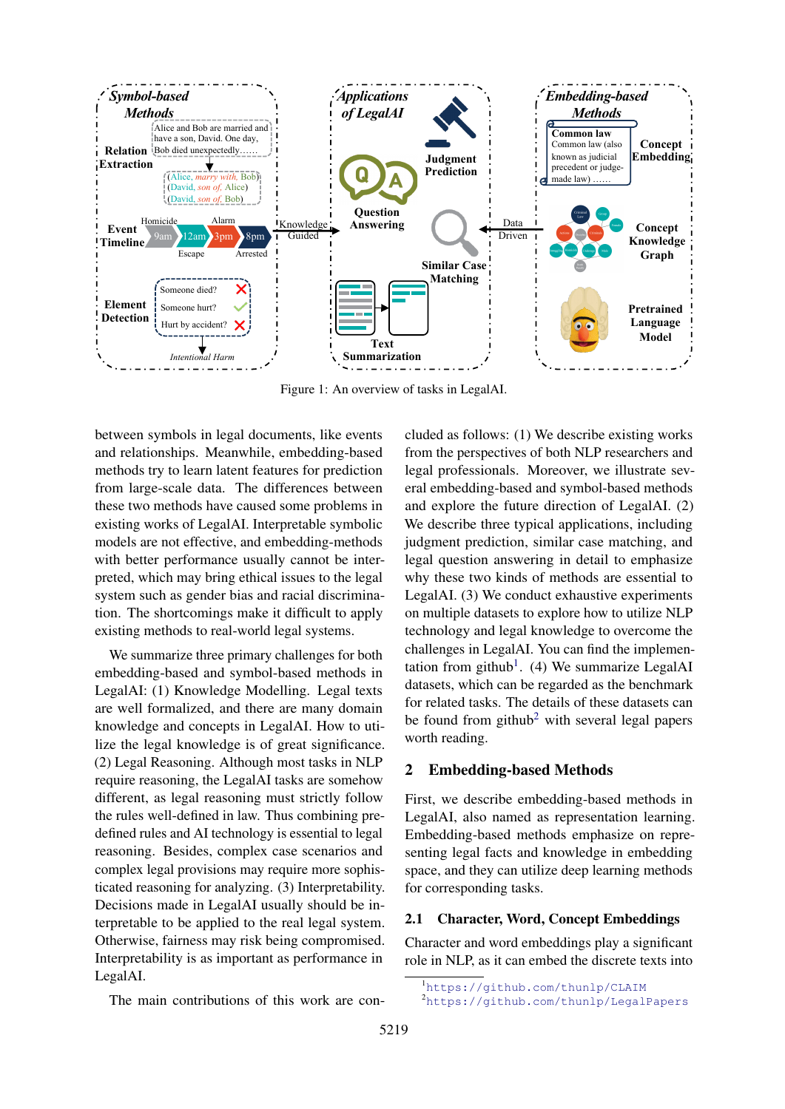

Figure 1: An overview of tasks in LegalAI.

between symbols in legal documents, like events and relationships. Meanwhile, embedding-based methods try to learn latent features for prediction from large-scale data. The differences between these two methods have caused some problems in existing works of LegalAI. Interpretable symbolic models are not effective, and embedding-methods with better performance usually cannot be interpreted, which may bring ethical issues to the legal system such as gender bias and racial discrimination. The shortcomings make it difficult to apply existing methods to real-world legal systems.

We summarize three primary challenges for both embedding-based and symbol-based methods in LegalAI: (1) Knowledge Modelling. Legal texts are well formalized, and there are many domain knowledge and concepts in LegalAI. How to utilize the legal knowledge is of great significance. (2) Legal Reasoning. Although most tasks in NLP require reasoning, the LegalAI tasks are somehow different, as legal reasoning must strictly follow the rules well-defined in law. Thus combining predefined rules and AI technology is essential to legal reasoning. Besides, complex case scenarios and complex legal provisions may require more sophisticated reasoning for analyzing. (3) Interpretability. Decisions made in LegalAI usually should be interpretable to be applied to the real legal system. Otherwise, fairness may risk being compromised. Interpretability is as important as performance in LegalAI.

cluded as follows: (1) We describe existing works from the perspectives of both NLP researchers and legal professionals. Moreover, we illustrate several embedding-based and symbol-based methods and explore the future direction of LegalAI. (2) We describe three typical applications, including judgment prediction, similar case matching, and legal question answering in detail to emphasize why these two kinds of methods are essential to LegalAI. (3) We conduct exhaustive experiments on multiple datasets to explore how to utilize NLP technology and legal knowledge to overcome the challenges in LegalAI. You can find the implemen-tation from github<sup>[1](#page-1-0)</sup>. (4) We summarize LegalAI datasets, which can be regarded as the benchmark for related tasks. The details of these datasets can be found from github<sup>[2](#page-1-1)</sup> with several legal papers worth reading.

## 2 Embedding-based Methods

First, we describe embedding-based methods in LegalAI, also named as representation learning. Embedding-based methods emphasize on representing legal facts and knowledge in embedding space, and they can utilize deep learning methods for corresponding tasks.

### 2.1 Character, Word, Concept Embeddings

Character and word embeddings play a significant role in NLP, as it can embed the discrete texts into

The main contributions of this work are con-

<span id="page-1-0"></span><sup>1</sup><https://github.com/thunlp/CLAIM>

<span id="page-1-1"></span><sup>2</sup><https://github.com/thunlp/LegalPapers>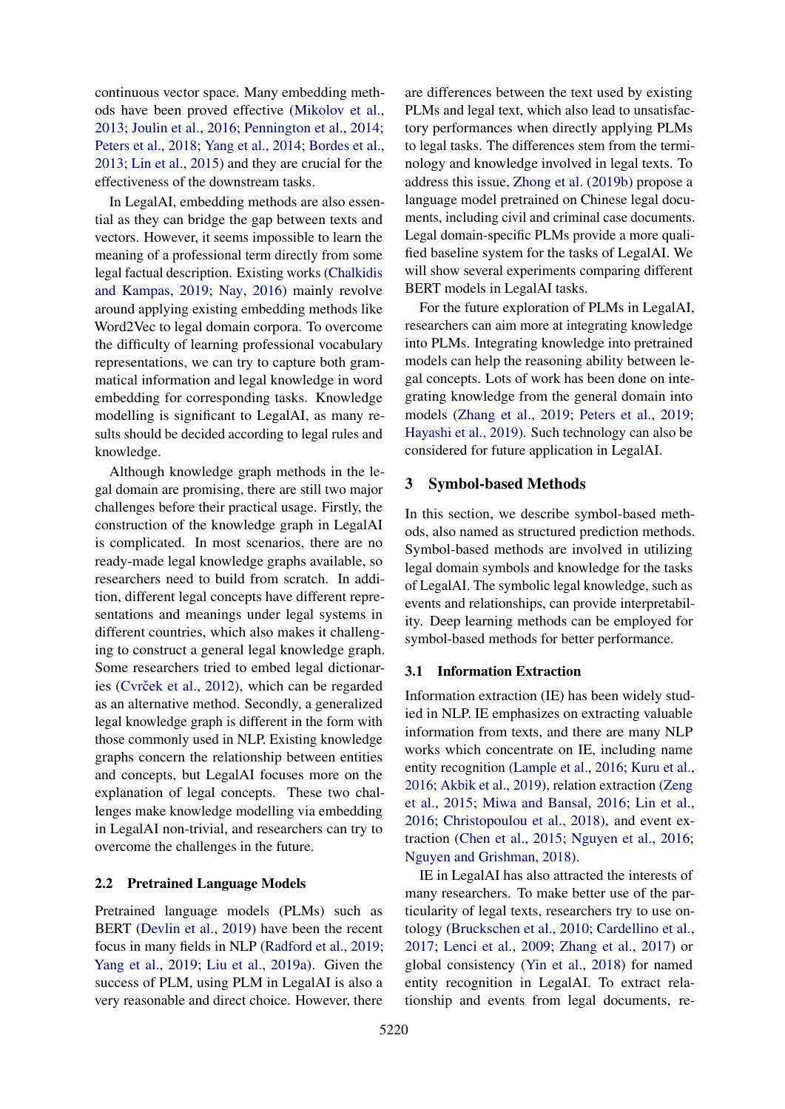continuous vector space. Many embedding methods have been proved effective [\(Mikolov et al.,](#page-10-4) [2013;](#page-10-4) [Joulin et al.,](#page-9-8) [2016;](#page-9-8) [Pennington et al.,](#page-11-5) [2014;](#page-11-5) [Peters et al.,](#page-11-6) [2018;](#page-11-6) [Yang et al.,](#page-12-4) [2014;](#page-12-4) [Bordes et al.,](#page-8-4) [2013;](#page-8-4) [Lin et al.,](#page-10-5) [2015\)](#page-10-5) and they are crucial for the effectiveness of the downstream tasks.

In LegalAI, embedding methods are also essential as they can bridge the gap between texts and vectors. However, it seems impossible to learn the meaning of a professional term directly from some legal factual description. Existing works [\(Chalkidis](#page-9-7) [and Kampas,](#page-9-7) [2019;](#page-9-7) [Nay,](#page-11-7) [2016\)](#page-11-7) mainly revolve around applying existing embedding methods like Word2Vec to legal domain corpora. To overcome the difficulty of learning professional vocabulary representations, we can try to capture both grammatical information and legal knowledge in word embedding for corresponding tasks. Knowledge modelling is significant to LegalAI, as many results should be decided according to legal rules and knowledge.

Although knowledge graph methods in the legal domain are promising, there are still two major challenges before their practical usage. Firstly, the construction of the knowledge graph in LegalAI is complicated. In most scenarios, there are no ready-made legal knowledge graphs available, so researchers need to build from scratch. In addition, different legal concepts have different representations and meanings under legal systems in different countries, which also makes it challenging to construct a general legal knowledge graph. Some researchers tried to embed legal dictionar-ies (Cvrček et al., [2012\)](#page-9-9), which can be regarded as an alternative method. Secondly, a generalized legal knowledge graph is different in the form with those commonly used in NLP. Existing knowledge graphs concern the relationship between entities and concepts, but LegalAI focuses more on the explanation of legal concepts. These two challenges make knowledge modelling via embedding in LegalAI non-trivial, and researchers can try to overcome the challenges in the future.

#### 2.2 Pretrained Language Models

Pretrained language models (PLMs) such as BERT [\(Devlin et al.,](#page-9-10) [2019\)](#page-9-10) have been the recent focus in many fields in NLP [\(Radford et al.,](#page-11-8) [2019;](#page-11-8) [Yang et al.,](#page-12-5) [2019;](#page-12-5) [Liu et al.,](#page-10-6) [2019a\)](#page-10-6). Given the success of PLM, using PLM in LegalAI is also a very reasonable and direct choice. However, there

are differences between the text used by existing PLMs and legal text, which also lead to unsatisfactory performances when directly applying PLMs to legal tasks. The differences stem from the terminology and knowledge involved in legal texts. To address this issue, [Zhong et al.](#page-12-6) [\(2019b\)](#page-12-6) propose a language model pretrained on Chinese legal documents, including civil and criminal case documents. Legal domain-specific PLMs provide a more qualified baseline system for the tasks of LegalAI. We will show several experiments comparing different BERT models in LegalAI tasks.

For the future exploration of PLMs in LegalAI, researchers can aim more at integrating knowledge into PLMs. Integrating knowledge into pretrained models can help the reasoning ability between legal concepts. Lots of work has been done on integrating knowledge from the general domain into models [\(Zhang et al.,](#page-12-7) [2019;](#page-12-7) [Peters et al.,](#page-11-9) [2019;](#page-11-9) [Hayashi et al.,](#page-9-11) [2019\)](#page-9-11). Such technology can also be considered for future application in LegalAI.

#### 3 Symbol-based Methods

In this section, we describe symbol-based methods, also named as structured prediction methods. Symbol-based methods are involved in utilizing legal domain symbols and knowledge for the tasks of LegalAI. The symbolic legal knowledge, such as events and relationships, can provide interpretability. Deep learning methods can be employed for symbol-based methods for better performance.

#### 3.1 Information Extraction

Information extraction (IE) has been widely studied in NLP. IE emphasizes on extracting valuable information from texts, and there are many NLP works which concentrate on IE, including name entity recognition [\(Lample et al.,](#page-10-7) [2016;](#page-10-7) [Kuru et al.,](#page-10-8) [2016;](#page-10-8) [Akbik et al.,](#page-8-5) [2019\)](#page-8-5), relation extraction [\(Zeng](#page-12-8) [et al.,](#page-12-8) [2015;](#page-12-8) [Miwa and Bansal,](#page-10-9) [2016;](#page-10-9) [Lin et al.,](#page-10-10) [2016;](#page-10-10) [Christopoulou et al.,](#page-9-12) [2018\)](#page-9-12), and event extraction [\(Chen et al.,](#page-9-13) [2015;](#page-9-13) [Nguyen et al.,](#page-11-10) [2016;](#page-11-10) [Nguyen and Grishman,](#page-11-11) [2018\)](#page-11-11).

IE in LegalAI has also attracted the interests of many researchers. To make better use of the particularity of legal texts, researchers try to use ontology [\(Bruckschen et al.,](#page-9-14) [2010;](#page-9-14) [Cardellino et al.,](#page-9-5) [2017;](#page-9-5) [Lenci et al.,](#page-10-11) [2009;](#page-10-11) [Zhang et al.,](#page-12-9) [2017\)](#page-12-9) or global consistency [\(Yin et al.,](#page-12-10) [2018\)](#page-12-10) for named entity recognition in LegalAI. To extract relationship and events from legal documents, re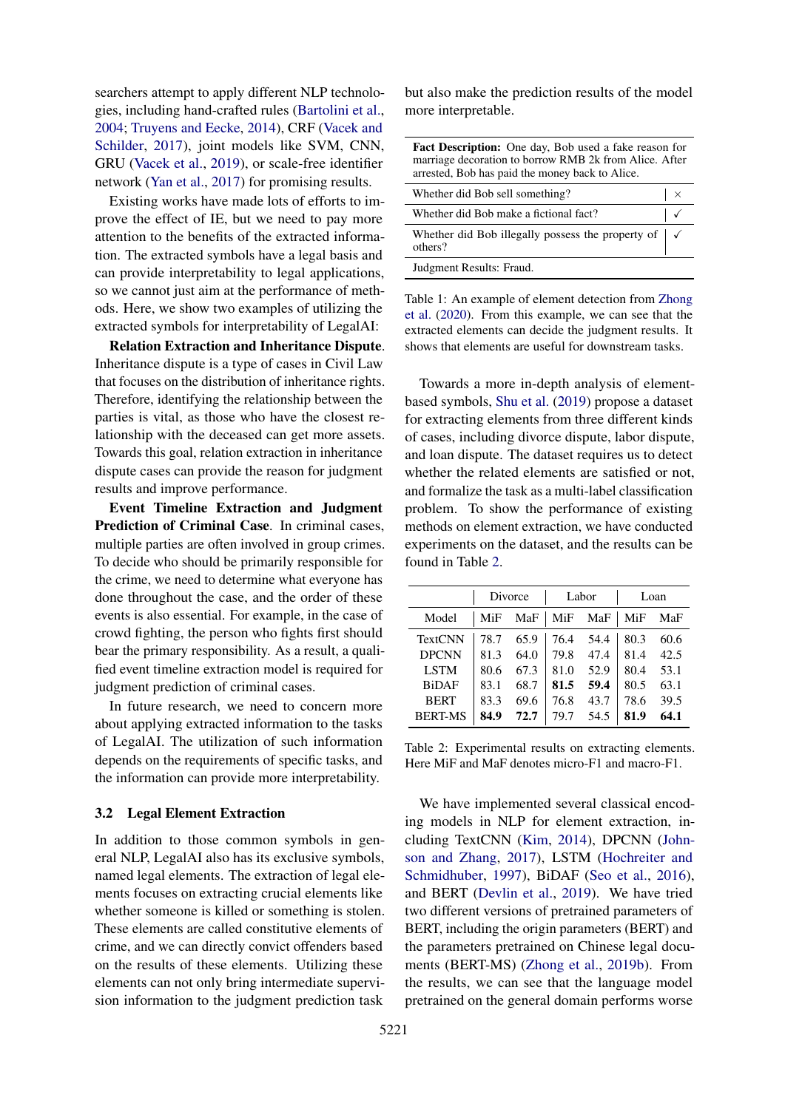searchers attempt to apply different NLP technologies, including hand-crafted rules [\(Bartolini et al.,](#page-8-6) [2004;](#page-8-6) [Truyens and Eecke,](#page-12-11) [2014\)](#page-12-11), CRF [\(Vacek and](#page-12-12) [Schilder,](#page-12-12) [2017\)](#page-12-12), joint models like SVM, CNN, GRU [\(Vacek et al.,](#page-12-13) [2019\)](#page-12-13), or scale-free identifier network [\(Yan et al.,](#page-12-14) [2017\)](#page-12-14) for promising results.

Existing works have made lots of efforts to improve the effect of IE, but we need to pay more attention to the benefits of the extracted information. The extracted symbols have a legal basis and can provide interpretability to legal applications, so we cannot just aim at the performance of methods. Here, we show two examples of utilizing the extracted symbols for interpretability of LegalAI:

Relation Extraction and Inheritance Dispute. Inheritance dispute is a type of cases in Civil Law that focuses on the distribution of inheritance rights. Therefore, identifying the relationship between the parties is vital, as those who have the closest relationship with the deceased can get more assets. Towards this goal, relation extraction in inheritance dispute cases can provide the reason for judgment results and improve performance.

Event Timeline Extraction and Judgment Prediction of Criminal Case. In criminal cases, multiple parties are often involved in group crimes. To decide who should be primarily responsible for the crime, we need to determine what everyone has done throughout the case, and the order of these events is also essential. For example, in the case of crowd fighting, the person who fights first should bear the primary responsibility. As a result, a qualified event timeline extraction model is required for judgment prediction of criminal cases.

In future research, we need to concern more about applying extracted information to the tasks of LegalAI. The utilization of such information depends on the requirements of specific tasks, and the information can provide more interpretability.

#### 3.2 Legal Element Extraction

In addition to those common symbols in general NLP, LegalAI also has its exclusive symbols, named legal elements. The extraction of legal elements focuses on extracting crucial elements like whether someone is killed or something is stolen. These elements are called constitutive elements of crime, and we can directly convict offenders based on the results of these elements. Utilizing these elements can not only bring intermediate supervision information to the judgment prediction task

but also make the prediction results of the model more interpretable.

| <b>Fact Description:</b> One day, Bob used a fake reason for<br>marriage decoration to borrow RMB 2k from Alice. After<br>arrested, Bob has paid the money back to Alice. |  |  |  |  |  |
|---------------------------------------------------------------------------------------------------------------------------------------------------------------------------|--|--|--|--|--|
| Whether did Bob sell something?<br>$\times$                                                                                                                               |  |  |  |  |  |
| Whether did Bob make a fictional fact?                                                                                                                                    |  |  |  |  |  |
| Whether did Bob illegally possess the property of<br>others?                                                                                                              |  |  |  |  |  |
| Judgment Results: Fraud.                                                                                                                                                  |  |  |  |  |  |

Table 1: An example of element detection from [Zhong](#page-12-15) [et al.](#page-12-15) [\(2020\)](#page-12-15). From this example, we can see that the extracted elements can decide the judgment results. It shows that elements are useful for downstream tasks.

Towards a more in-depth analysis of elementbased symbols, [Shu et al.](#page-11-12) [\(2019\)](#page-11-12) propose a dataset for extracting elements from three different kinds of cases, including divorce dispute, labor dispute, and loan dispute. The dataset requires us to detect whether the related elements are satisfied or not, and formalize the task as a multi-label classification problem. To show the performance of existing methods on element extraction, we have conducted experiments on the dataset, and the results can be found in Table [2.](#page-3-0)

<span id="page-3-0"></span>

|                |      | Divorce |      | Labor | Loan |      |
|----------------|------|---------|------|-------|------|------|
| Model          | MiF  | MaF     | MiF  | MaF   | MiF  | MaF  |
| <b>TextCNN</b> | 78.7 | 65.9    | 76.4 | 54.4  | 80.3 | 60.6 |
| <b>DPCNN</b>   | 81.3 | 64.0    | 79.8 | 47.4  | 81.4 | 42.5 |
| <b>LSTM</b>    | 80.6 | 67.3    | 81.0 | 52.9  | 80.4 | 53.1 |
| <b>BiDAF</b>   | 83.1 | 68.7    | 81.5 | 59.4  | 80.5 | 63.1 |
| <b>BERT</b>    | 83.3 | 69.6    | 76.8 | 43.7  | 78.6 | 39.5 |
| <b>BERT-MS</b> | 84.9 | 72.7    | 79.7 | 54.5  | 81.9 | 64.1 |

Table 2: Experimental results on extracting elements. Here MiF and MaF denotes micro-F1 and macro-F1.

We have implemented several classical encoding models in NLP for element extraction, including TextCNN [\(Kim,](#page-10-12) [2014\)](#page-10-12), DPCNN [\(John](#page-9-15)[son and Zhang,](#page-9-15) [2017\)](#page-9-15), LSTM [\(Hochreiter and](#page-9-16) [Schmidhuber,](#page-9-16) [1997\)](#page-9-16), BiDAF [\(Seo et al.,](#page-11-13) [2016\)](#page-11-13), and BERT [\(Devlin et al.,](#page-9-10) [2019\)](#page-9-10). We have tried two different versions of pretrained parameters of BERT, including the origin parameters (BERT) and the parameters pretrained on Chinese legal documents (BERT-MS) [\(Zhong et al.,](#page-12-6) [2019b\)](#page-12-6). From the results, we can see that the language model pretrained on the general domain performs worse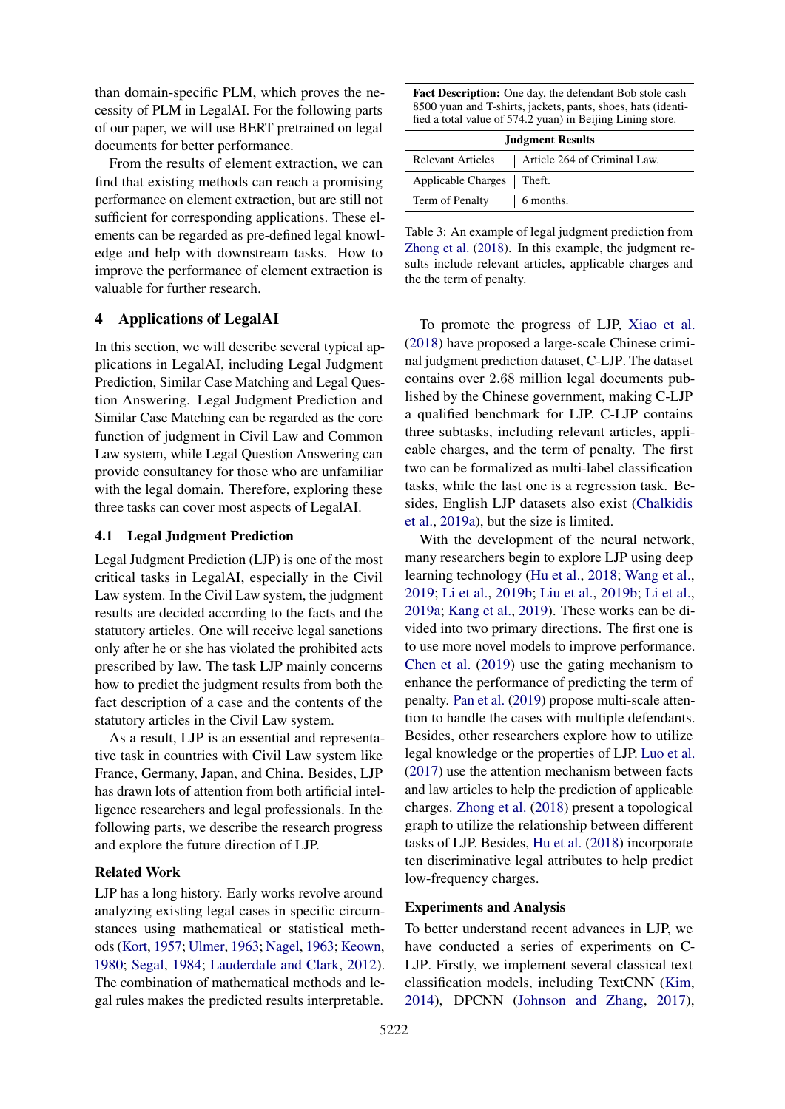than domain-specific PLM, which proves the necessity of PLM in LegalAI. For the following parts of our paper, we will use BERT pretrained on legal documents for better performance.

From the results of element extraction, we can find that existing methods can reach a promising performance on element extraction, but are still not sufficient for corresponding applications. These elements can be regarded as pre-defined legal knowledge and help with downstream tasks. How to improve the performance of element extraction is valuable for further research.

#### 4 Applications of LegalAI

In this section, we will describe several typical applications in LegalAI, including Legal Judgment Prediction, Similar Case Matching and Legal Question Answering. Legal Judgment Prediction and Similar Case Matching can be regarded as the core function of judgment in Civil Law and Common Law system, while Legal Question Answering can provide consultancy for those who are unfamiliar with the legal domain. Therefore, exploring these three tasks can cover most aspects of LegalAI.

#### 4.1 Legal Judgment Prediction

Legal Judgment Prediction (LJP) is one of the most critical tasks in LegalAI, especially in the Civil Law system. In the Civil Law system, the judgment results are decided according to the facts and the statutory articles. One will receive legal sanctions only after he or she has violated the prohibited acts prescribed by law. The task LJP mainly concerns how to predict the judgment results from both the fact description of a case and the contents of the statutory articles in the Civil Law system.

As a result, LJP is an essential and representative task in countries with Civil Law system like France, Germany, Japan, and China. Besides, LJP has drawn lots of attention from both artificial intelligence researchers and legal professionals. In the following parts, we describe the research progress and explore the future direction of LJP.

#### Related Work

LJP has a long history. Early works revolve around analyzing existing legal cases in specific circumstances using mathematical or statistical methods [\(Kort,](#page-10-0) [1957;](#page-10-0) [Ulmer,](#page-12-0) [1963;](#page-12-0) [Nagel,](#page-11-0) [1963;](#page-11-0) [Keown,](#page-10-13) [1980;](#page-10-13) [Segal,](#page-11-1) [1984;](#page-11-1) [Lauderdale and Clark,](#page-10-14) [2012\)](#page-10-14). The combination of mathematical methods and legal rules makes the predicted results interpretable.

Fact Description: One day, the defendant Bob stole cash 8500 yuan and T-shirts, jackets, pants, shoes, hats (identified a total value of 574.2 yuan) in Beijing Lining store.

| <b>Judgment Results</b>                                  |  |  |  |  |  |
|----------------------------------------------------------|--|--|--|--|--|
| Article 264 of Criminal Law.<br><b>Relevant Articles</b> |  |  |  |  |  |
| Applicable Charges   Theft.                              |  |  |  |  |  |
| Term of Penalty<br>6 months.                             |  |  |  |  |  |

Table 3: An example of legal judgment prediction from [Zhong et al.](#page-12-2) [\(2018\)](#page-12-2). In this example, the judgment results include relevant articles, applicable charges and the the term of penalty.

To promote the progress of LJP, [Xiao et al.](#page-12-1) [\(2018\)](#page-12-1) have proposed a large-scale Chinese criminal judgment prediction dataset, C-LJP. The dataset contains over 2.68 million legal documents published by the Chinese government, making C-LJP a qualified benchmark for LJP. C-LJP contains three subtasks, including relevant articles, applicable charges, and the term of penalty. The first two can be formalized as multi-label classification tasks, while the last one is a regression task. Besides, English LJP datasets also exist [\(Chalkidis](#page-9-3) [et al.,](#page-9-3) [2019a\)](#page-9-3), but the size is limited.

With the development of the neural network, many researchers begin to explore LJP using deep learning technology [\(Hu et al.,](#page-9-17) [2018;](#page-9-17) [Wang et al.,](#page-12-16) [2019;](#page-12-16) [Li et al.,](#page-10-15) [2019b;](#page-10-15) [Liu et al.,](#page-10-16) [2019b;](#page-10-16) [Li et al.,](#page-10-17) [2019a;](#page-10-17) [Kang et al.,](#page-10-18) [2019\)](#page-10-18). These works can be divided into two primary directions. The first one is to use more novel models to improve performance. [Chen et al.](#page-9-4) [\(2019\)](#page-9-4) use the gating mechanism to enhance the performance of predicting the term of penalty. [Pan et al.](#page-11-14) [\(2019\)](#page-11-14) propose multi-scale attention to handle the cases with multiple defendants. Besides, other researchers explore how to utilize legal knowledge or the properties of LJP. [Luo et al.](#page-10-2) [\(2017\)](#page-10-2) use the attention mechanism between facts and law articles to help the prediction of applicable charges. [Zhong et al.](#page-12-2) [\(2018\)](#page-12-2) present a topological graph to utilize the relationship between different tasks of LJP. Besides, [Hu et al.](#page-9-17) [\(2018\)](#page-9-17) incorporate ten discriminative legal attributes to help predict low-frequency charges.

#### Experiments and Analysis

To better understand recent advances in LJP, we have conducted a series of experiments on C-LJP. Firstly, we implement several classical text classification models, including TextCNN [\(Kim,](#page-10-12) [2014\)](#page-10-12), DPCNN [\(Johnson and Zhang,](#page-9-15) [2017\)](#page-9-15),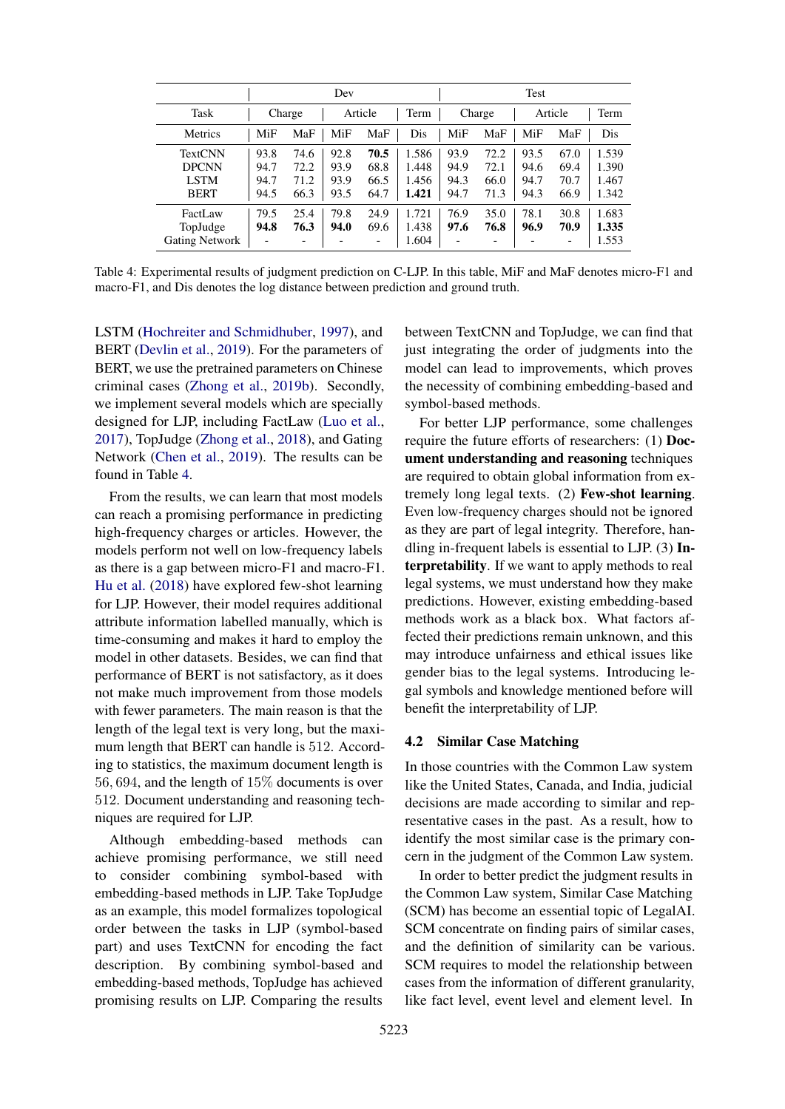<span id="page-5-0"></span>

|                                                       | Dev                          |                              |                              |                              | Test                             |                                          |                                          |                              |                              |                                  |
|-------------------------------------------------------|------------------------------|------------------------------|------------------------------|------------------------------|----------------------------------|------------------------------------------|------------------------------------------|------------------------------|------------------------------|----------------------------------|
| Task                                                  |                              | Charge                       |                              | Article                      | Term                             |                                          | Charge                                   |                              | Article                      | Term                             |
| <b>Metrics</b>                                        | MiF                          | MaF                          | MiF                          | MaF                          | Dis                              | MiF                                      | MaF                                      | MiF                          | MaF                          | Dis                              |
| TextCNN<br><b>DPCNN</b><br><b>LSTM</b><br><b>BERT</b> | 93.8<br>94.7<br>94.7<br>94.5 | 74.6<br>72.2<br>71.2<br>66.3 | 92.8<br>93.9<br>93.9<br>93.5 | 70.5<br>68.8<br>66.5<br>64.7 | 1.586<br>1.448<br>1.456<br>1.421 | 93.9<br>94.9<br>94.3<br>94.7             | 72.2<br>72.1<br>66.0<br>71.3             | 93.5<br>94.6<br>94.7<br>94.3 | 67.0<br>69.4<br>70.7<br>66.9 | 1.539<br>1.390<br>1.467<br>1.342 |
| FactLaw<br>TopJudge<br><b>Gating Network</b>          | 79.5<br>94.8                 | 25.4<br>76.3                 | 79.8<br>94.0                 | 24.9<br>69.6                 | 1.721<br>1.438<br>1.604          | 76.9<br>97.6<br>$\overline{\phantom{0}}$ | 35.0<br>76.8<br>$\overline{\phantom{0}}$ | 78.1<br>96.9                 | 30.8<br>70.9                 | 1.683<br>1.335<br>1.553          |

Table 4: Experimental results of judgment prediction on C-LJP. In this table, MiF and MaF denotes micro-F1 and macro-F1, and Dis denotes the log distance between prediction and ground truth.

LSTM [\(Hochreiter and Schmidhuber,](#page-9-16) [1997\)](#page-9-16), and BERT [\(Devlin et al.,](#page-9-10) [2019\)](#page-9-10). For the parameters of BERT, we use the pretrained parameters on Chinese criminal cases [\(Zhong et al.,](#page-12-6) [2019b\)](#page-12-6). Secondly, we implement several models which are specially designed for LJP, including FactLaw [\(Luo et al.,](#page-10-2) [2017\)](#page-10-2), TopJudge [\(Zhong et al.,](#page-12-2) [2018\)](#page-12-2), and Gating Network [\(Chen et al.,](#page-9-4) [2019\)](#page-9-4). The results can be found in Table [4.](#page-5-0)

From the results, we can learn that most models can reach a promising performance in predicting high-frequency charges or articles. However, the models perform not well on low-frequency labels as there is a gap between micro-F1 and macro-F1. [Hu et al.](#page-9-17) [\(2018\)](#page-9-17) have explored few-shot learning for LJP. However, their model requires additional attribute information labelled manually, which is time-consuming and makes it hard to employ the model in other datasets. Besides, we can find that performance of BERT is not satisfactory, as it does not make much improvement from those models with fewer parameters. The main reason is that the length of the legal text is very long, but the maximum length that BERT can handle is 512. According to statistics, the maximum document length is 56, 694, and the length of 15% documents is over 512. Document understanding and reasoning techniques are required for LJP.

Although embedding-based methods can achieve promising performance, we still need to consider combining symbol-based with embedding-based methods in LJP. Take TopJudge as an example, this model formalizes topological order between the tasks in LJP (symbol-based part) and uses TextCNN for encoding the fact description. By combining symbol-based and embedding-based methods, TopJudge has achieved promising results on LJP. Comparing the results

between TextCNN and TopJudge, we can find that just integrating the order of judgments into the model can lead to improvements, which proves the necessity of combining embedding-based and symbol-based methods.

For better LJP performance, some challenges require the future efforts of researchers: (1) Document understanding and reasoning techniques are required to obtain global information from extremely long legal texts. (2) Few-shot learning. Even low-frequency charges should not be ignored as they are part of legal integrity. Therefore, handling in-frequent labels is essential to LJP.  $(3)$  Interpretability. If we want to apply methods to real legal systems, we must understand how they make predictions. However, existing embedding-based methods work as a black box. What factors affected their predictions remain unknown, and this may introduce unfairness and ethical issues like gender bias to the legal systems. Introducing legal symbols and knowledge mentioned before will benefit the interpretability of LJP.

#### 4.2 Similar Case Matching

In those countries with the Common Law system like the United States, Canada, and India, judicial decisions are made according to similar and representative cases in the past. As a result, how to identify the most similar case is the primary concern in the judgment of the Common Law system.

In order to better predict the judgment results in the Common Law system, Similar Case Matching (SCM) has become an essential topic of LegalAI. SCM concentrate on finding pairs of similar cases, and the definition of similarity can be various. SCM requires to model the relationship between cases from the information of different granularity, like fact level, event level and element level. In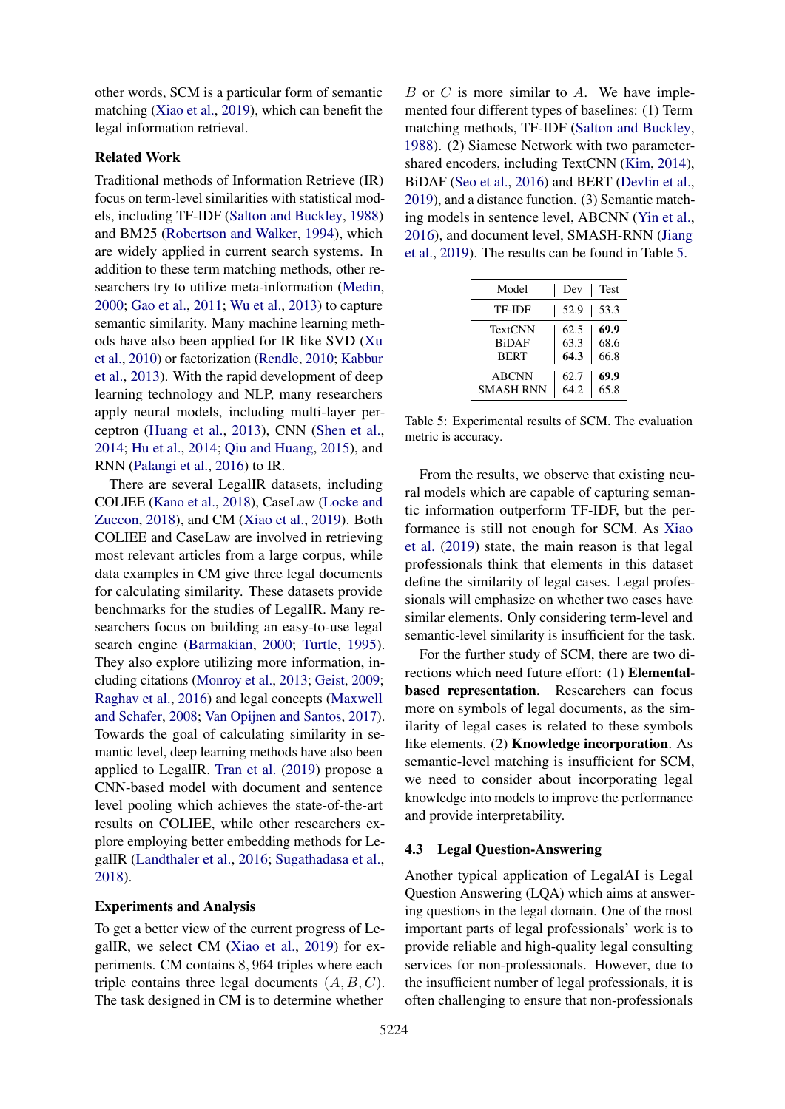other words, SCM is a particular form of semantic matching [\(Xiao et al.,](#page-12-17) [2019\)](#page-12-17), which can benefit the legal information retrieval.

## Related Work

Traditional methods of Information Retrieve (IR) focus on term-level similarities with statistical models, including TF-IDF [\(Salton and Buckley,](#page-11-15) [1988\)](#page-11-15) and BM25 [\(Robertson and Walker,](#page-11-16) [1994\)](#page-11-16), which are widely applied in current search systems. In addition to these term matching methods, other researchers try to utilize meta-information [\(Medin,](#page-10-19) [2000;](#page-10-19) [Gao et al.,](#page-9-18) [2011;](#page-9-18) [Wu et al.,](#page-12-18) [2013\)](#page-12-18) to capture semantic similarity. Many machine learning methods have also been applied for IR like SVD [\(Xu](#page-12-19) [et al.,](#page-12-19) [2010\)](#page-12-19) or factorization [\(Rendle,](#page-11-17) [2010;](#page-11-17) [Kabbur](#page-10-20) [et al.,](#page-10-20) [2013\)](#page-10-20). With the rapid development of deep learning technology and NLP, many researchers apply neural models, including multi-layer perceptron [\(Huang et al.,](#page-9-19) [2013\)](#page-9-19), CNN [\(Shen et al.,](#page-11-18) [2014;](#page-11-18) [Hu et al.,](#page-9-20) [2014;](#page-9-20) [Qiu and Huang,](#page-11-19) [2015\)](#page-11-19), and RNN [\(Palangi et al.,](#page-11-20) [2016\)](#page-11-20) to IR.

There are several LegalIR datasets, including COLIEE [\(Kano et al.,](#page-10-1) [2018\)](#page-10-1), CaseLaw [\(Locke and](#page-10-21) [Zuccon,](#page-10-21) [2018\)](#page-10-21), and CM [\(Xiao et al.,](#page-12-17) [2019\)](#page-12-17). Both COLIEE and CaseLaw are involved in retrieving most relevant articles from a large corpus, while data examples in CM give three legal documents for calculating similarity. These datasets provide benchmarks for the studies of LegalIR. Many researchers focus on building an easy-to-use legal search engine [\(Barmakian,](#page-8-7) [2000;](#page-8-7) [Turtle,](#page-12-20) [1995\)](#page-12-20). They also explore utilizing more information, including citations [\(Monroy et al.,](#page-11-21) [2013;](#page-11-21) [Geist,](#page-9-21) [2009;](#page-9-21) [Raghav et al.,](#page-11-22) [2016\)](#page-11-22) and legal concepts [\(Maxwell](#page-10-22) [and Schafer,](#page-10-22) [2008;](#page-10-22) [Van Opijnen and Santos,](#page-12-21) [2017\)](#page-12-21). Towards the goal of calculating similarity in semantic level, deep learning methods have also been applied to LegalIR. [Tran et al.](#page-11-23) [\(2019\)](#page-11-23) propose a CNN-based model with document and sentence level pooling which achieves the state-of-the-art results on COLIEE, while other researchers explore employing better embedding methods for LegalIR [\(Landthaler et al.,](#page-10-23) [2016;](#page-10-23) [Sugathadasa et al.,](#page-11-24) [2018\)](#page-11-24).

#### Experiments and Analysis

To get a better view of the current progress of LegalIR, we select CM [\(Xiao et al.,](#page-12-17) [2019\)](#page-12-17) for experiments. CM contains 8, 964 triples where each triple contains three legal documents  $(A, B, C)$ . The task designed in CM is to determine whether

 $B$  or  $C$  is more similar to  $A$ . We have implemented four different types of baselines: (1) Term matching methods, TF-IDF [\(Salton and Buckley,](#page-11-15) [1988\)](#page-11-15). (2) Siamese Network with two parametershared encoders, including TextCNN [\(Kim,](#page-10-12) [2014\)](#page-10-12), BiDAF [\(Seo et al.,](#page-11-13) [2016\)](#page-11-13) and BERT [\(Devlin et al.,](#page-9-10) [2019\)](#page-9-10), and a distance function. (3) Semantic matching models in sentence level, ABCNN [\(Yin et al.,](#page-12-22) [2016\)](#page-12-22), and document level, SMASH-RNN [\(Jiang](#page-9-22) [et al.,](#page-9-22) [2019\)](#page-9-22). The results can be found in Table [5.](#page-6-0)

<span id="page-6-0"></span>

| Model                                  | Dev                  | <b>Test</b>          |
|----------------------------------------|----------------------|----------------------|
| TF-IDF                                 | 52.9                 | 53.3                 |
| TextCNN<br><b>BiDAF</b><br><b>BERT</b> | 62.5<br>63.3<br>64.3 | 69.9<br>68.6<br>66.8 |
| <b>ABCNN</b><br><b>SMASH RNN</b>       | 62.7<br>64.2         | 69.9<br>65.8         |

Table 5: Experimental results of SCM. The evaluation metric is accuracy.

From the results, we observe that existing neural models which are capable of capturing semantic information outperform TF-IDF, but the performance is still not enough for SCM. As [Xiao](#page-12-17) [et al.](#page-12-17) [\(2019\)](#page-12-17) state, the main reason is that legal professionals think that elements in this dataset define the similarity of legal cases. Legal professionals will emphasize on whether two cases have similar elements. Only considering term-level and semantic-level similarity is insufficient for the task.

For the further study of SCM, there are two directions which need future effort: (1) Elementalbased representation. Researchers can focus more on symbols of legal documents, as the similarity of legal cases is related to these symbols like elements. (2) Knowledge incorporation. As semantic-level matching is insufficient for SCM, we need to consider about incorporating legal knowledge into models to improve the performance and provide interpretability.

#### 4.3 Legal Question-Answering

Another typical application of LegalAI is Legal Question Answering (LQA) which aims at answering questions in the legal domain. One of the most important parts of legal professionals' work is to provide reliable and high-quality legal consulting services for non-professionals. However, due to the insufficient number of legal professionals, it is often challenging to ensure that non-professionals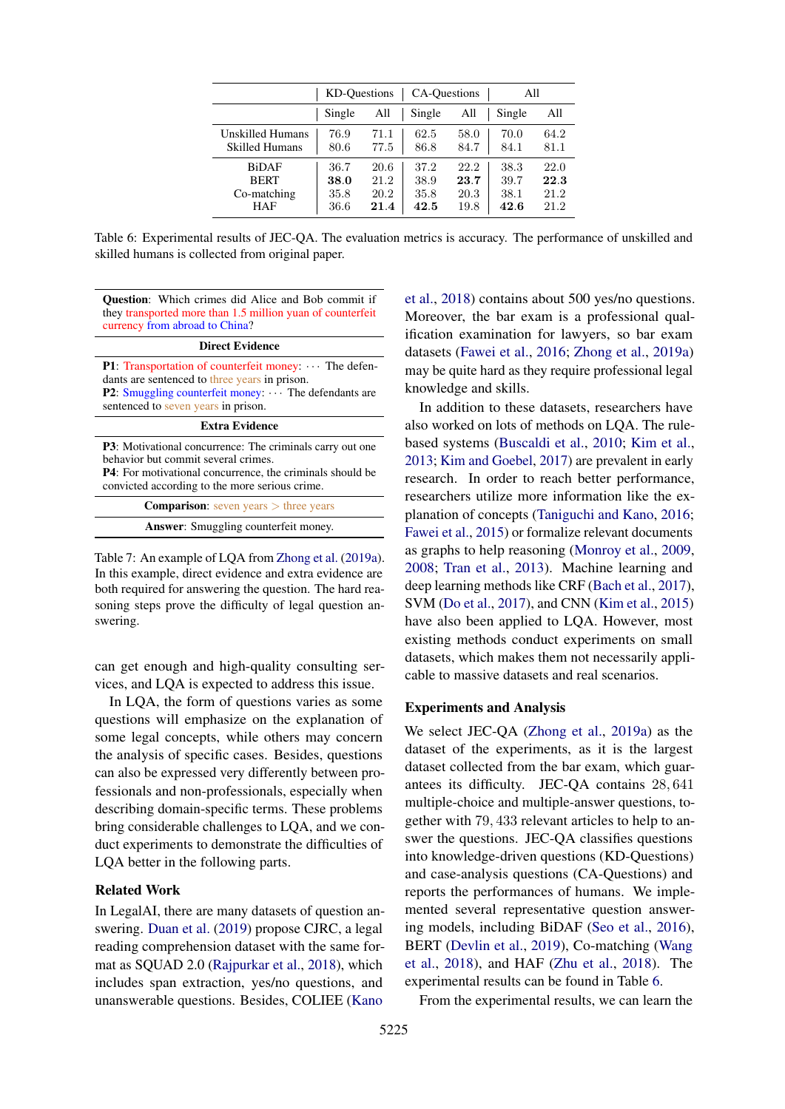<span id="page-7-0"></span>

|                         | KD-Ouestions<br>CA-Questions |      |        | All  |        |      |
|-------------------------|------------------------------|------|--------|------|--------|------|
|                         | Single                       | All  | Single | All  | Single | All  |
| <b>Unskilled Humans</b> | 76.9                         | 71.1 | 62.5   | 58.0 | 70.0   | 64.2 |
| <b>Skilled Humans</b>   | 80.6                         | 77.5 | 86.8   | 84.7 | 84.1   | 81.1 |
| <b>BiDAF</b>            | 36.7                         | 20.6 | 37.2   | 22.2 | 38.3   | 22.0 |
| <b>BERT</b>             | 38.0                         | 21.2 | 38.9   | 23.7 | 39.7   | 22.3 |
| Co-matching             | 35.8                         | 20.2 | 35.8   | 20.3 | 38.1   | 21.2 |
| <b>HAF</b>              | 36.6                         | 21.4 | 42.5   | 19.8 | 42.6   | 21.2 |

Table 6: Experimental results of JEC-QA. The evaluation metrics is accuracy. The performance of unskilled and skilled humans is collected from original paper.

Question: Which crimes did Alice and Bob commit if they transported more than 1.5 million yuan of counterfeit currency from abroad to China?

#### Direct Evidence

P1: Transportation of counterfeit money:  $\cdots$  The defendants are sentenced to three years in prison. P2: Smuggling counterfeit money: The defendants are sentenced to seven years in prison.

#### Extra Evidence

P3: Motivational concurrence: The criminals carry out one behavior but commit several crimes.

P4: For motivational concurrence, the criminals should be convicted according to the more serious crime.

| <b>Comparison:</b> seven years $>$ three years |  |
|------------------------------------------------|--|
| <b>Answer:</b> Smuggling counterfeit money.    |  |

Table 7: An example of LQA from [Zhong et al.](#page-12-23) [\(2019a\)](#page-12-23). In this example, direct evidence and extra evidence are both required for answering the question. The hard reasoning steps prove the difficulty of legal question answering.

can get enough and high-quality consulting services, and LQA is expected to address this issue.

In LQA, the form of questions varies as some questions will emphasize on the explanation of some legal concepts, while others may concern the analysis of specific cases. Besides, questions can also be expressed very differently between professionals and non-professionals, especially when describing domain-specific terms. These problems bring considerable challenges to LQA, and we conduct experiments to demonstrate the difficulties of LQA better in the following parts.

#### Related Work

In LegalAI, there are many datasets of question answering. [Duan et al.](#page-9-1) [\(2019\)](#page-9-1) propose CJRC, a legal reading comprehension dataset with the same format as SQUAD 2.0 [\(Rajpurkar et al.,](#page-11-25) [2018\)](#page-11-25), which includes span extraction, yes/no questions, and unanswerable questions. Besides, COLIEE [\(Kano](#page-10-1)

[et al.,](#page-10-1) [2018\)](#page-10-1) contains about 500 yes/no questions. Moreover, the bar exam is a professional qualification examination for lawyers, so bar exam datasets [\(Fawei et al.,](#page-9-23) [2016;](#page-9-23) [Zhong et al.,](#page-12-23) [2019a\)](#page-12-23) may be quite hard as they require professional legal knowledge and skills.

In addition to these datasets, researchers have also worked on lots of methods on LQA. The rulebased systems [\(Buscaldi et al.,](#page-9-24) [2010;](#page-9-24) [Kim et al.,](#page-10-24) [2013;](#page-10-24) [Kim and Goebel,](#page-10-3) [2017\)](#page-10-3) are prevalent in early research. In order to reach better performance, researchers utilize more information like the explanation of concepts [\(Taniguchi and Kano,](#page-11-3) [2016;](#page-11-3) [Fawei et al.,](#page-9-25) [2015\)](#page-9-25) or formalize relevant documents as graphs to help reasoning [\(Monroy et al.,](#page-11-2) [2009,](#page-11-2) [2008;](#page-10-25) [Tran et al.,](#page-11-26) [2013\)](#page-11-26). Machine learning and deep learning methods like CRF [\(Bach et al.,](#page-8-8) [2017\)](#page-8-8), SVM [\(Do et al.,](#page-9-26) [2017\)](#page-9-26), and CNN [\(Kim et al.,](#page-10-26) [2015\)](#page-10-26) have also been applied to LQA. However, most existing methods conduct experiments on small datasets, which makes them not necessarily applicable to massive datasets and real scenarios.

#### Experiments and Analysis

We select JEC-QA [\(Zhong et al.,](#page-12-23) [2019a\)](#page-12-23) as the dataset of the experiments, as it is the largest dataset collected from the bar exam, which guarantees its difficulty. JEC-QA contains 28, 641 multiple-choice and multiple-answer questions, together with 79, 433 relevant articles to help to answer the questions. JEC-QA classifies questions into knowledge-driven questions (KD-Questions) and case-analysis questions (CA-Questions) and reports the performances of humans. We implemented several representative question answering models, including BiDAF [\(Seo et al.,](#page-11-13) [2016\)](#page-11-13), BERT [\(Devlin et al.,](#page-9-10) [2019\)](#page-9-10), Co-matching [\(Wang](#page-12-24) [et al.,](#page-12-24) [2018\)](#page-12-24), and HAF [\(Zhu et al.,](#page-12-25) [2018\)](#page-12-25). The experimental results can be found in Table [6.](#page-7-0)

From the experimental results, we can learn the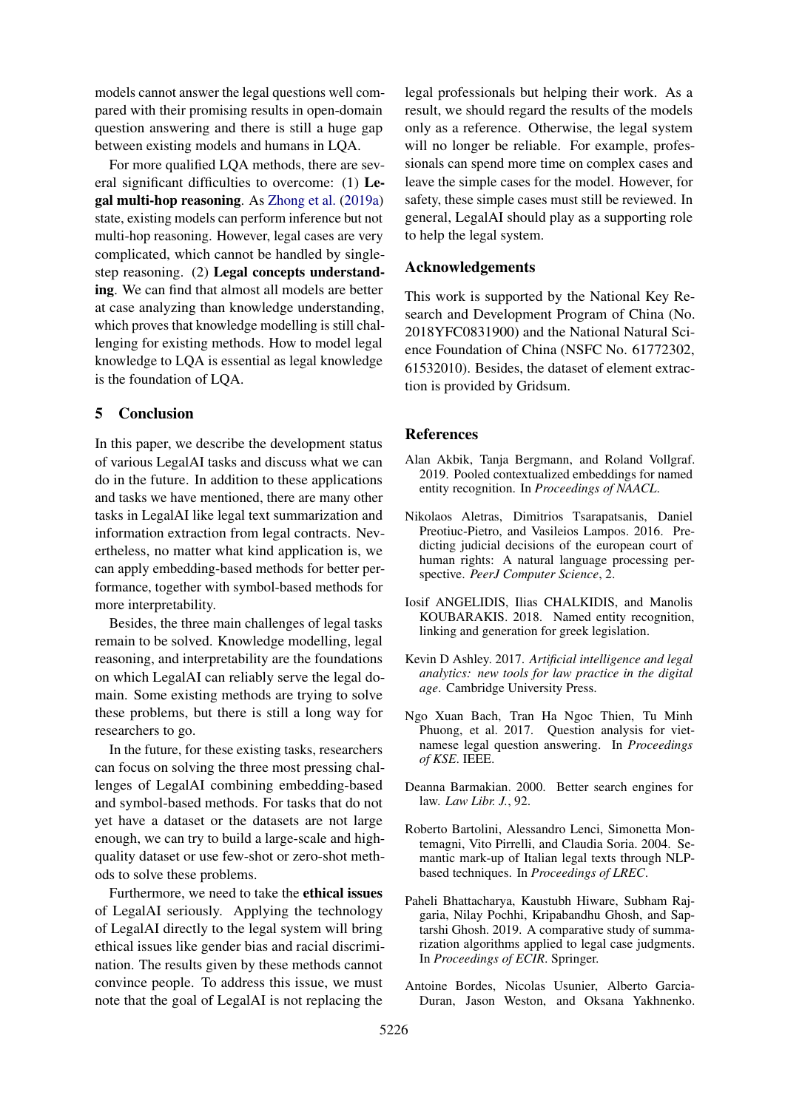models cannot answer the legal questions well compared with their promising results in open-domain question answering and there is still a huge gap between existing models and humans in LQA.

For more qualified LQA methods, there are several significant difficulties to overcome: (1) Legal multi-hop reasoning. As [Zhong et al.](#page-12-23) [\(2019a\)](#page-12-23) state, existing models can perform inference but not multi-hop reasoning. However, legal cases are very complicated, which cannot be handled by singlestep reasoning. (2) Legal concepts understanding. We can find that almost all models are better at case analyzing than knowledge understanding, which proves that knowledge modelling is still challenging for existing methods. How to model legal knowledge to LQA is essential as legal knowledge is the foundation of LQA.

### 5 Conclusion

In this paper, we describe the development status of various LegalAI tasks and discuss what we can do in the future. In addition to these applications and tasks we have mentioned, there are many other tasks in LegalAI like legal text summarization and information extraction from legal contracts. Nevertheless, no matter what kind application is, we can apply embedding-based methods for better performance, together with symbol-based methods for more interpretability.

Besides, the three main challenges of legal tasks remain to be solved. Knowledge modelling, legal reasoning, and interpretability are the foundations on which LegalAI can reliably serve the legal domain. Some existing methods are trying to solve these problems, but there is still a long way for researchers to go.

In the future, for these existing tasks, researchers can focus on solving the three most pressing challenges of LegalAI combining embedding-based and symbol-based methods. For tasks that do not yet have a dataset or the datasets are not large enough, we can try to build a large-scale and highquality dataset or use few-shot or zero-shot methods to solve these problems.

Furthermore, we need to take the ethical issues of LegalAI seriously. Applying the technology of LegalAI directly to the legal system will bring ethical issues like gender bias and racial discrimination. The results given by these methods cannot convince people. To address this issue, we must note that the goal of LegalAI is not replacing the

legal professionals but helping their work. As a result, we should regard the results of the models only as a reference. Otherwise, the legal system will no longer be reliable. For example, professionals can spend more time on complex cases and leave the simple cases for the model. However, for safety, these simple cases must still be reviewed. In general, LegalAI should play as a supporting role to help the legal system.

#### Acknowledgements

This work is supported by the National Key Research and Development Program of China (No. 2018YFC0831900) and the National Natural Science Foundation of China (NSFC No. 61772302, 61532010). Besides, the dataset of element extraction is provided by Gridsum.

#### **References**

- <span id="page-8-5"></span>Alan Akbik, Tanja Bergmann, and Roland Vollgraf. 2019. Pooled contextualized embeddings for named entity recognition. In *Proceedings of NAACL*.
- <span id="page-8-0"></span>Nikolaos Aletras, Dimitrios Tsarapatsanis, Daniel Preotiuc-Pietro, and Vasileios Lampos. 2016. Predicting judicial decisions of the european court of human rights: A natural language processing perspective. *PeerJ Computer Science*, 2.
- <span id="page-8-1"></span>Iosif ANGELIDIS, Ilias CHALKIDIS, and Manolis KOUBARAKIS. 2018. Named entity recognition, linking and generation for greek legislation.
- <span id="page-8-3"></span>Kevin D Ashley. 2017. *Artificial intelligence and legal analytics: new tools for law practice in the digital age*. Cambridge University Press.
- <span id="page-8-8"></span>Ngo Xuan Bach, Tran Ha Ngoc Thien, Tu Minh Phuong, et al. 2017. Question analysis for vietnamese legal question answering. In *Proceedings of KSE*. IEEE.
- <span id="page-8-7"></span>Deanna Barmakian. 2000. Better search engines for law. *Law Libr. J.*, 92.
- <span id="page-8-6"></span>Roberto Bartolini, Alessandro Lenci, Simonetta Montemagni, Vito Pirrelli, and Claudia Soria. 2004. Semantic mark-up of Italian legal texts through NLPbased techniques. In *Proceedings of LREC*.
- <span id="page-8-2"></span>Paheli Bhattacharya, Kaustubh Hiware, Subham Rajgaria, Nilay Pochhi, Kripabandhu Ghosh, and Saptarshi Ghosh. 2019. A comparative study of summarization algorithms applied to legal case judgments. In *Proceedings of ECIR*. Springer.
- <span id="page-8-4"></span>Antoine Bordes, Nicolas Usunier, Alberto Garcia-Duran, Jason Weston, and Oksana Yakhnenko.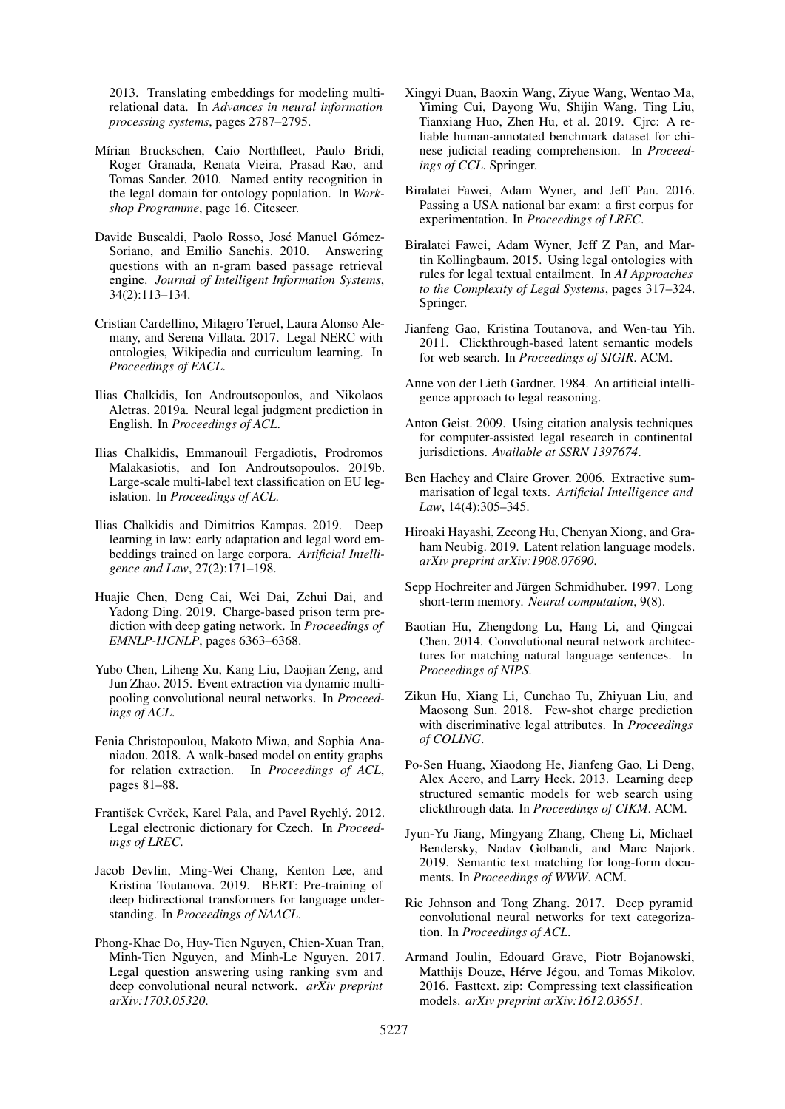2013. Translating embeddings for modeling multirelational data. In *Advances in neural information processing systems*, pages 2787–2795.

- <span id="page-9-14"></span>Mírian Bruckschen, Caio Northfleet, Paulo Bridi, Roger Granada, Renata Vieira, Prasad Rao, and Tomas Sander. 2010. Named entity recognition in the legal domain for ontology population. In *Workshop Programme*, page 16. Citeseer.
- <span id="page-9-24"></span>Davide Buscaldi, Paolo Rosso, José Manuel Gómez-Soriano, and Emilio Sanchis. 2010. Answering questions with an n-gram based passage retrieval engine. *Journal of Intelligent Information Systems*, 34(2):113–134.
- <span id="page-9-5"></span>Cristian Cardellino, Milagro Teruel, Laura Alonso Alemany, and Serena Villata. 2017. Legal NERC with ontologies, Wikipedia and curriculum learning. In *Proceedings of EACL*.
- <span id="page-9-3"></span>Ilias Chalkidis, Ion Androutsopoulos, and Nikolaos Aletras. 2019a. Neural legal judgment prediction in English. In *Proceedings of ACL*.
- <span id="page-9-2"></span>Ilias Chalkidis, Emmanouil Fergadiotis, Prodromos Malakasiotis, and Ion Androutsopoulos. 2019b. Large-scale multi-label text classification on EU legislation. In *Proceedings of ACL*.
- <span id="page-9-7"></span>Ilias Chalkidis and Dimitrios Kampas. 2019. Deep learning in law: early adaptation and legal word embeddings trained on large corpora. *Artificial Intelligence and Law*, 27(2):171–198.
- <span id="page-9-4"></span>Huajie Chen, Deng Cai, Wei Dai, Zehui Dai, and Yadong Ding. 2019. Charge-based prison term prediction with deep gating network. In *Proceedings of EMNLP-IJCNLP*, pages 6363–6368.
- <span id="page-9-13"></span>Yubo Chen, Liheng Xu, Kang Liu, Daojian Zeng, and Jun Zhao. 2015. Event extraction via dynamic multipooling convolutional neural networks. In *Proceedings of ACL*.
- <span id="page-9-12"></span>Fenia Christopoulou, Makoto Miwa, and Sophia Ananiadou. 2018. A walk-based model on entity graphs for relation extraction. In *Proceedings of ACL*, pages 81–88.
- <span id="page-9-9"></span>František Cvrček, Karel Pala, and Pavel Rychlý. 2012. Legal electronic dictionary for Czech. In *Proceedings of LREC*.
- <span id="page-9-10"></span>Jacob Devlin, Ming-Wei Chang, Kenton Lee, and Kristina Toutanova. 2019. BERT: Pre-training of deep bidirectional transformers for language understanding. In *Proceedings of NAACL*.
- <span id="page-9-26"></span>Phong-Khac Do, Huy-Tien Nguyen, Chien-Xuan Tran, Minh-Tien Nguyen, and Minh-Le Nguyen. 2017. Legal question answering using ranking svm and deep convolutional neural network. *arXiv preprint arXiv:1703.05320*.
- <span id="page-9-1"></span>Xingyi Duan, Baoxin Wang, Ziyue Wang, Wentao Ma, Yiming Cui, Dayong Wu, Shijin Wang, Ting Liu, Tianxiang Huo, Zhen Hu, et al. 2019. Cjrc: A reliable human-annotated benchmark dataset for chinese judicial reading comprehension. In *Proceedings of CCL*. Springer.
- <span id="page-9-23"></span>Biralatei Fawei, Adam Wyner, and Jeff Pan. 2016. Passing a USA national bar exam: a first corpus for experimentation. In *Proceedings of LREC*.
- <span id="page-9-25"></span>Biralatei Fawei, Adam Wyner, Jeff Z Pan, and Martin Kollingbaum. 2015. Using legal ontologies with rules for legal textual entailment. In *AI Approaches to the Complexity of Legal Systems*, pages 317–324. Springer.
- <span id="page-9-18"></span>Jianfeng Gao, Kristina Toutanova, and Wen-tau Yih. 2011. Clickthrough-based latent semantic models for web search. In *Proceedings of SIGIR*. ACM.
- <span id="page-9-0"></span>Anne von der Lieth Gardner. 1984. An artificial intelligence approach to legal reasoning.
- <span id="page-9-21"></span>Anton Geist. 2009. Using citation analysis techniques for computer-assisted legal research in continental jurisdictions. *Available at SSRN 1397674*.
- <span id="page-9-6"></span>Ben Hachey and Claire Grover. 2006. Extractive summarisation of legal texts. *Artificial Intelligence and Law*, 14(4):305–345.
- <span id="page-9-11"></span>Hiroaki Hayashi, Zecong Hu, Chenyan Xiong, and Graham Neubig. 2019. Latent relation language models. *arXiv preprint arXiv:1908.07690*.
- <span id="page-9-16"></span>Sepp Hochreiter and Jürgen Schmidhuber. 1997. Long short-term memory. *Neural computation*, 9(8).
- <span id="page-9-20"></span>Baotian Hu, Zhengdong Lu, Hang Li, and Qingcai Chen. 2014. Convolutional neural network architectures for matching natural language sentences. In *Proceedings of NIPS*.
- <span id="page-9-17"></span>Zikun Hu, Xiang Li, Cunchao Tu, Zhiyuan Liu, and Maosong Sun. 2018. Few-shot charge prediction with discriminative legal attributes. In *Proceedings of COLING*.
- <span id="page-9-19"></span>Po-Sen Huang, Xiaodong He, Jianfeng Gao, Li Deng, Alex Acero, and Larry Heck. 2013. Learning deep structured semantic models for web search using clickthrough data. In *Proceedings of CIKM*. ACM.
- <span id="page-9-22"></span>Jyun-Yu Jiang, Mingyang Zhang, Cheng Li, Michael Bendersky, Nadav Golbandi, and Marc Najork. 2019. Semantic text matching for long-form documents. In *Proceedings of WWW*. ACM.
- <span id="page-9-15"></span>Rie Johnson and Tong Zhang. 2017. Deep pyramid convolutional neural networks for text categorization. In *Proceedings of ACL*.
- <span id="page-9-8"></span>Armand Joulin, Edouard Grave, Piotr Bojanowski, Matthijs Douze, Hérve Jégou, and Tomas Mikolov. 2016. Fasttext. zip: Compressing text classification models. *arXiv preprint arXiv:1612.03651*.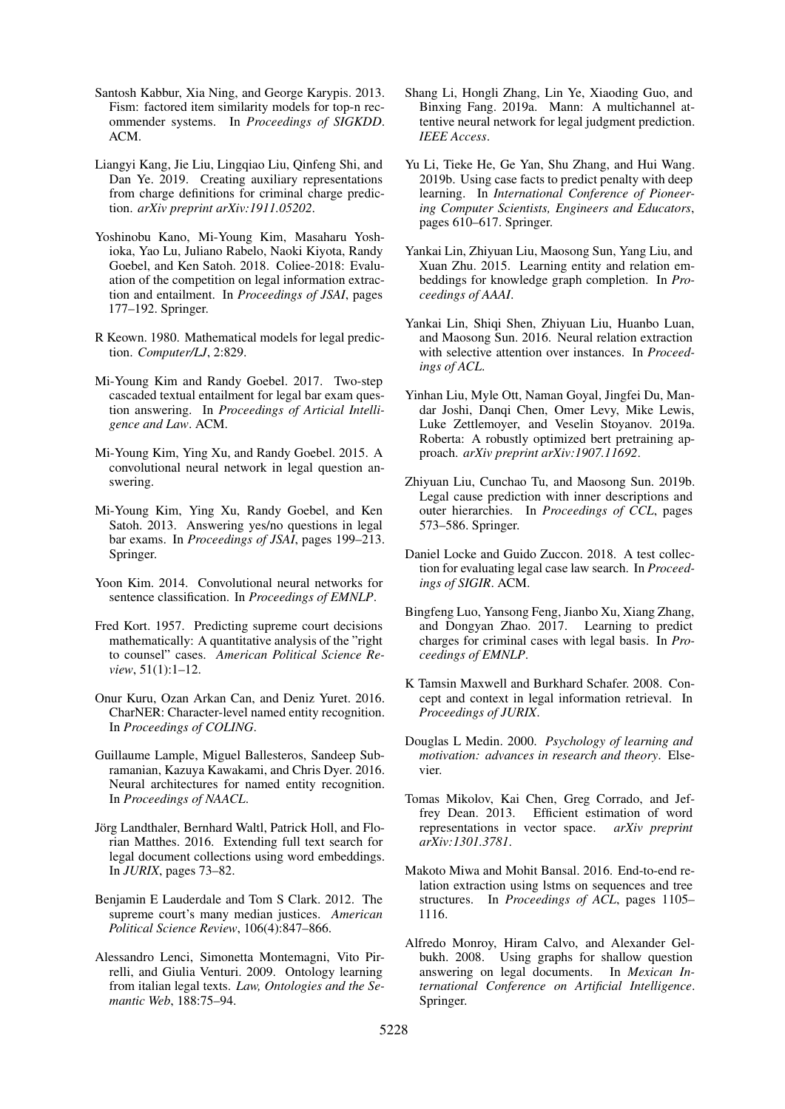- <span id="page-10-20"></span>Santosh Kabbur, Xia Ning, and George Karypis. 2013. Fism: factored item similarity models for top-n recommender systems. In *Proceedings of SIGKDD*. ACM.
- <span id="page-10-18"></span>Liangyi Kang, Jie Liu, Lingqiao Liu, Qinfeng Shi, and Dan Ye. 2019. Creating auxiliary representations from charge definitions for criminal charge prediction. *arXiv preprint arXiv:1911.05202*.
- <span id="page-10-1"></span>Yoshinobu Kano, Mi-Young Kim, Masaharu Yoshioka, Yao Lu, Juliano Rabelo, Naoki Kiyota, Randy Goebel, and Ken Satoh. 2018. Coliee-2018: Evaluation of the competition on legal information extraction and entailment. In *Proceedings of JSAI*, pages 177–192. Springer.
- <span id="page-10-13"></span>R Keown. 1980. Mathematical models for legal prediction. *Computer/LJ*, 2:829.
- <span id="page-10-3"></span>Mi-Young Kim and Randy Goebel. 2017. Two-step cascaded textual entailment for legal bar exam question answering. In *Proceedings of Articial Intelligence and Law*. ACM.
- <span id="page-10-26"></span>Mi-Young Kim, Ying Xu, and Randy Goebel. 2015. A convolutional neural network in legal question answering.
- <span id="page-10-24"></span>Mi-Young Kim, Ying Xu, Randy Goebel, and Ken Satoh. 2013. Answering yes/no questions in legal bar exams. In *Proceedings of JSAI*, pages 199–213. Springer.
- <span id="page-10-12"></span>Yoon Kim. 2014. Convolutional neural networks for sentence classification. In *Proceedings of EMNLP*.
- <span id="page-10-0"></span>Fred Kort. 1957. Predicting supreme court decisions mathematically: A quantitative analysis of the "right to counsel" cases. *American Political Science Review*, 51(1):1–12.
- <span id="page-10-8"></span>Onur Kuru, Ozan Arkan Can, and Deniz Yuret. 2016. CharNER: Character-level named entity recognition. In *Proceedings of COLING*.
- <span id="page-10-7"></span>Guillaume Lample, Miguel Ballesteros, Sandeep Subramanian, Kazuya Kawakami, and Chris Dyer. 2016. Neural architectures for named entity recognition. In *Proceedings of NAACL*.
- <span id="page-10-23"></span>Jörg Landthaler, Bernhard Waltl, Patrick Holl, and Florian Matthes. 2016. Extending full text search for legal document collections using word embeddings. In *JURIX*, pages 73–82.
- <span id="page-10-14"></span>Benjamin E Lauderdale and Tom S Clark. 2012. The supreme court's many median justices. *American Political Science Review*, 106(4):847–866.
- <span id="page-10-11"></span>Alessandro Lenci, Simonetta Montemagni, Vito Pirrelli, and Giulia Venturi. 2009. Ontology learning from italian legal texts. *Law, Ontologies and the Semantic Web*, 188:75–94.
- <span id="page-10-17"></span>Shang Li, Hongli Zhang, Lin Ye, Xiaoding Guo, and Binxing Fang. 2019a. Mann: A multichannel attentive neural network for legal judgment prediction. *IEEE Access*.
- <span id="page-10-15"></span>Yu Li, Tieke He, Ge Yan, Shu Zhang, and Hui Wang. 2019b. Using case facts to predict penalty with deep learning. In *International Conference of Pioneering Computer Scientists, Engineers and Educators*, pages 610–617. Springer.
- <span id="page-10-5"></span>Yankai Lin, Zhiyuan Liu, Maosong Sun, Yang Liu, and Xuan Zhu. 2015. Learning entity and relation embeddings for knowledge graph completion. In *Proceedings of AAAI*.
- <span id="page-10-10"></span>Yankai Lin, Shiqi Shen, Zhiyuan Liu, Huanbo Luan, and Maosong Sun. 2016. Neural relation extraction with selective attention over instances. In *Proceedings of ACL*.
- <span id="page-10-6"></span>Yinhan Liu, Myle Ott, Naman Goyal, Jingfei Du, Mandar Joshi, Danqi Chen, Omer Levy, Mike Lewis, Luke Zettlemoyer, and Veselin Stoyanov. 2019a. Roberta: A robustly optimized bert pretraining approach. *arXiv preprint arXiv:1907.11692*.
- <span id="page-10-16"></span>Zhiyuan Liu, Cunchao Tu, and Maosong Sun. 2019b. Legal cause prediction with inner descriptions and outer hierarchies. In *Proceedings of CCL*, pages 573–586. Springer.
- <span id="page-10-21"></span>Daniel Locke and Guido Zuccon. 2018. A test collection for evaluating legal case law search. In *Proceedings of SIGIR*. ACM.
- <span id="page-10-2"></span>Bingfeng Luo, Yansong Feng, Jianbo Xu, Xiang Zhang, and Dongyan Zhao. 2017. Learning to predict charges for criminal cases with legal basis. In *Proceedings of EMNLP*.
- <span id="page-10-22"></span>K Tamsin Maxwell and Burkhard Schafer. 2008. Concept and context in legal information retrieval. In *Proceedings of JURIX*.
- <span id="page-10-19"></span>Douglas L Medin. 2000. *Psychology of learning and motivation: advances in research and theory*. Elsevier.
- <span id="page-10-4"></span>Tomas Mikolov, Kai Chen, Greg Corrado, and Jeffrey Dean. 2013. Efficient estimation of word representations in vector space. *arXiv preprint arXiv:1301.3781*.
- <span id="page-10-9"></span>Makoto Miwa and Mohit Bansal. 2016. End-to-end relation extraction using lstms on sequences and tree structures. In *Proceedings of ACL*, pages 1105– 1116.
- <span id="page-10-25"></span>Alfredo Monroy, Hiram Calvo, and Alexander Gelbukh. 2008. Using graphs for shallow question answering on legal documents. In *Mexican International Conference on Artificial Intelligence*. Springer.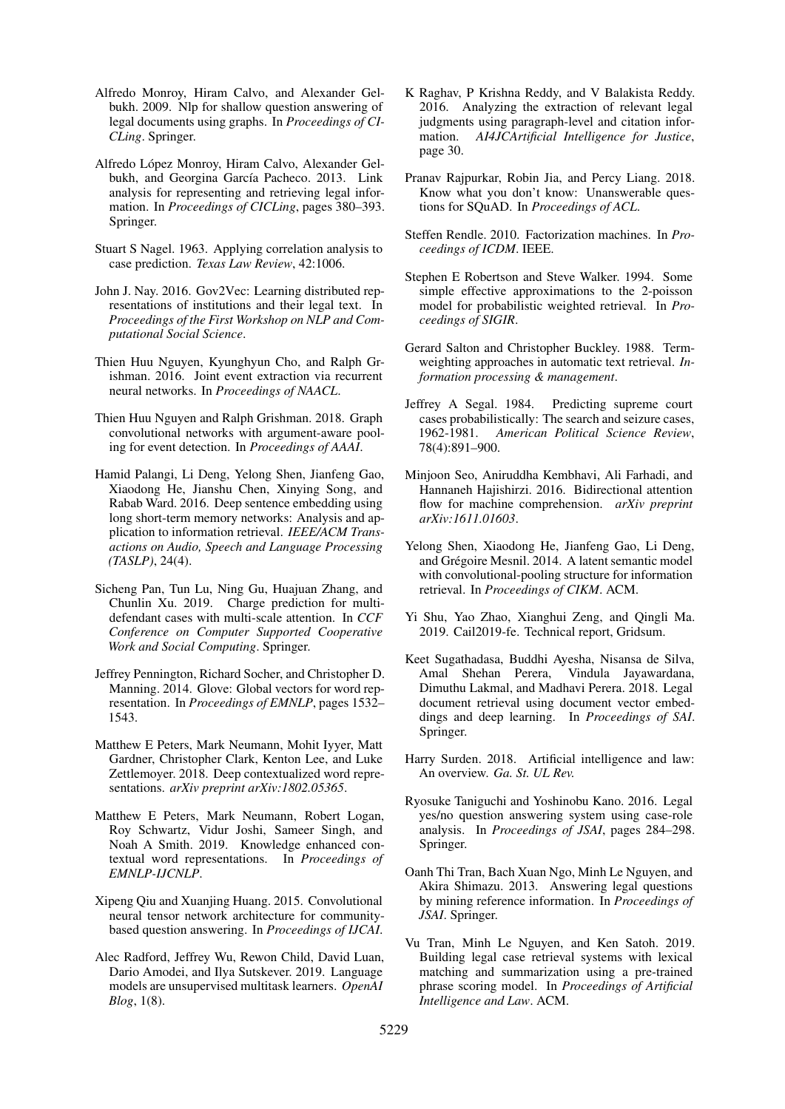- <span id="page-11-2"></span>Alfredo Monroy, Hiram Calvo, and Alexander Gelbukh. 2009. Nlp for shallow question answering of legal documents using graphs. In *Proceedings of CI-CLing*. Springer.
- <span id="page-11-21"></span>Alfredo Lopez Monroy, Hiram Calvo, Alexander Gel- ´ bukh, and Georgina García Pacheco. 2013. Link analysis for representing and retrieving legal information. In *Proceedings of CICLing*, pages 380–393. Springer.
- <span id="page-11-0"></span>Stuart S Nagel. 1963. Applying correlation analysis to case prediction. *Texas Law Review*, 42:1006.
- <span id="page-11-7"></span>John J. Nay. 2016. Gov2Vec: Learning distributed representations of institutions and their legal text. In *Proceedings of the First Workshop on NLP and Computational Social Science*.
- <span id="page-11-10"></span>Thien Huu Nguyen, Kyunghyun Cho, and Ralph Grishman. 2016. Joint event extraction via recurrent neural networks. In *Proceedings of NAACL*.
- <span id="page-11-11"></span>Thien Huu Nguyen and Ralph Grishman. 2018. Graph convolutional networks with argument-aware pooling for event detection. In *Proceedings of AAAI*.
- <span id="page-11-20"></span>Hamid Palangi, Li Deng, Yelong Shen, Jianfeng Gao, Xiaodong He, Jianshu Chen, Xinying Song, and Rabab Ward. 2016. Deep sentence embedding using long short-term memory networks: Analysis and application to information retrieval. *IEEE/ACM Transactions on Audio, Speech and Language Processing (TASLP)*, 24(4).
- <span id="page-11-14"></span>Sicheng Pan, Tun Lu, Ning Gu, Huajuan Zhang, and Chunlin Xu. 2019. Charge prediction for multidefendant cases with multi-scale attention. In *CCF Conference on Computer Supported Cooperative Work and Social Computing*. Springer.
- <span id="page-11-5"></span>Jeffrey Pennington, Richard Socher, and Christopher D. Manning. 2014. Glove: Global vectors for word representation. In *Proceedings of EMNLP*, pages 1532– 1543.
- <span id="page-11-6"></span>Matthew E Peters, Mark Neumann, Mohit Iyyer, Matt Gardner, Christopher Clark, Kenton Lee, and Luke Zettlemoyer. 2018. Deep contextualized word representations. *arXiv preprint arXiv:1802.05365*.
- <span id="page-11-9"></span>Matthew E Peters, Mark Neumann, Robert Logan, Roy Schwartz, Vidur Joshi, Sameer Singh, and Noah A Smith. 2019. Knowledge enhanced contextual word representations. In *Proceedings of EMNLP-IJCNLP*.
- <span id="page-11-19"></span>Xipeng Qiu and Xuanjing Huang. 2015. Convolutional neural tensor network architecture for communitybased question answering. In *Proceedings of IJCAI*.
- <span id="page-11-8"></span>Alec Radford, Jeffrey Wu, Rewon Child, David Luan, Dario Amodei, and Ilya Sutskever. 2019. Language models are unsupervised multitask learners. *OpenAI Blog*, 1(8).
- <span id="page-11-22"></span>K Raghav, P Krishna Reddy, and V Balakista Reddy. 2016. Analyzing the extraction of relevant legal judgments using paragraph-level and citation information. *AI4JCArtificial Intelligence for Justice*, page 30.
- <span id="page-11-25"></span>Pranav Rajpurkar, Robin Jia, and Percy Liang. 2018. Know what you don't know: Unanswerable questions for SQuAD. In *Proceedings of ACL*.
- <span id="page-11-17"></span>Steffen Rendle. 2010. Factorization machines. In *Proceedings of ICDM*. IEEE.
- <span id="page-11-16"></span>Stephen E Robertson and Steve Walker. 1994. Some simple effective approximations to the 2-poisson model for probabilistic weighted retrieval. In *Proceedings of SIGIR*.
- <span id="page-11-15"></span>Gerard Salton and Christopher Buckley. 1988. Termweighting approaches in automatic text retrieval. *Information processing & management*.
- <span id="page-11-1"></span>Jeffrey A Segal. 1984. Predicting supreme court cases probabilistically: The search and seizure cases, 1962-1981. *American Political Science Review*, 78(4):891–900.
- <span id="page-11-13"></span>Minjoon Seo, Aniruddha Kembhavi, Ali Farhadi, and Hannaneh Hajishirzi. 2016. Bidirectional attention flow for machine comprehension. *arXiv preprint arXiv:1611.01603*.
- <span id="page-11-18"></span>Yelong Shen, Xiaodong He, Jianfeng Gao, Li Deng, and Grégoire Mesnil. 2014. A latent semantic model with convolutional-pooling structure for information retrieval. In *Proceedings of CIKM*. ACM.
- <span id="page-11-12"></span>Yi Shu, Yao Zhao, Xianghui Zeng, and Qingli Ma. 2019. Cail2019-fe. Technical report, Gridsum.
- <span id="page-11-24"></span>Keet Sugathadasa, Buddhi Ayesha, Nisansa de Silva, Amal Shehan Perera, Dimuthu Lakmal, and Madhavi Perera. 2018. Legal document retrieval using document vector embeddings and deep learning. In *Proceedings of SAI*. Springer.
- <span id="page-11-4"></span>Harry Surden. 2018. Artificial intelligence and law: An overview. *Ga. St. UL Rev.*
- <span id="page-11-3"></span>Ryosuke Taniguchi and Yoshinobu Kano. 2016. Legal yes/no question answering system using case-role analysis. In *Proceedings of JSAI*, pages 284–298. Springer.
- <span id="page-11-26"></span>Oanh Thi Tran, Bach Xuan Ngo, Minh Le Nguyen, and Akira Shimazu. 2013. Answering legal questions by mining reference information. In *Proceedings of JSAI*. Springer.
- <span id="page-11-23"></span>Vu Tran, Minh Le Nguyen, and Ken Satoh. 2019. Building legal case retrieval systems with lexical matching and summarization using a pre-trained phrase scoring model. In *Proceedings of Artificial Intelligence and Law*. ACM.